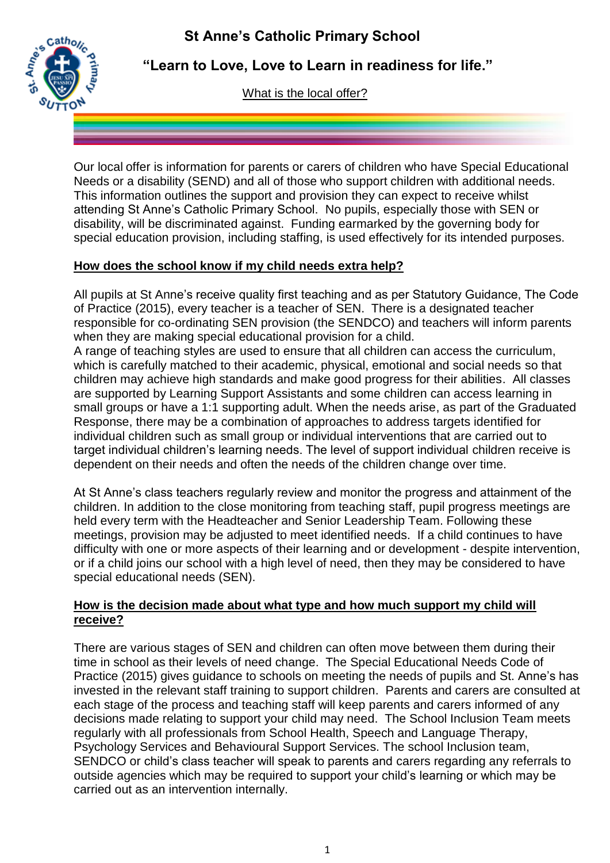# **St Anne's Catholic Primary School**



**"Learn to Love, Love to Learn in readiness for life."**

What is the local offer?

Our local offer is information for parents or carers of children who have Special Educational Needs or a disability (SEND) and all of those who support children with additional needs. This information outlines the support and provision they can expect to receive whilst attending St Anne's Catholic Primary School. No pupils, especially those with SEN or disability, will be discriminated against. Funding earmarked by the governing body for special education provision, including staffing, is used effectively for its intended purposes.

# **How does the school know if my child needs extra help?**

All pupils at St Anne's receive quality first teaching and as per Statutory Guidance, The Code of Practice (2015), every teacher is a teacher of SEN. There is a designated teacher responsible for co-ordinating SEN provision (the SENDCO) and teachers will inform parents when they are making special educational provision for a child.

A range of teaching styles are used to ensure that all children can access the curriculum, which is carefully matched to their academic, physical, emotional and social needs so that children may achieve high standards and make good progress for their abilities. All classes are supported by Learning Support Assistants and some children can access learning in small groups or have a 1:1 supporting adult. When the needs arise, as part of the Graduated Response, there may be a combination of approaches to address targets identified for individual children such as small group or individual interventions that are carried out to target individual children's learning needs. The level of support individual children receive is dependent on their needs and often the needs of the children change over time.

At St Anne's class teachers regularly review and monitor the progress and attainment of the children. In addition to the close monitoring from teaching staff, pupil progress meetings are held every term with the Headteacher and Senior Leadership Team. Following these meetings, provision may be adjusted to meet identified needs. If a child continues to have difficulty with one or more aspects of their learning and or development - despite intervention, or if a child joins our school with a high level of need, then they may be considered to have special educational needs (SEN).

## **How is the decision made about what type and how much support my child will receive?**

There are various stages of SEN and children can often move between them during their time in school as their levels of need change. The Special Educational Needs Code of Practice (2015) gives guidance to schools on meeting the needs of pupils and St. Anne's has invested in the relevant staff training to support children. Parents and carers are consulted at each stage of the process and teaching staff will keep parents and carers informed of any decisions made relating to support your child may need. The School Inclusion Team meets regularly with all professionals from School Health, Speech and Language Therapy, Psychology Services and Behavioural Support Services. The school Inclusion team, SENDCO or child's class teacher will speak to parents and carers regarding any referrals to outside agencies which may be required to support your child's learning or which may be carried out as an intervention internally.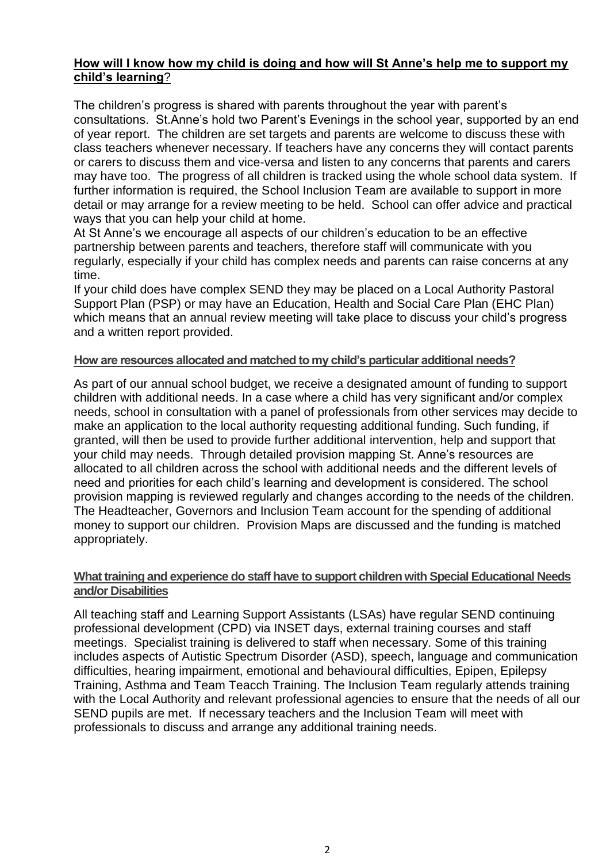#### **How will I know how my child is doing and how will St Anne's help me to support my child's learning**?

The children's progress is shared with parents throughout the year with parent's consultations. St.Anne's hold two Parent's Evenings in the school year, supported by an end of year report. The children are set targets and parents are welcome to discuss these with class teachers whenever necessary. If teachers have any concerns they will contact parents or carers to discuss them and vice-versa and listen to any concerns that parents and carers may have too. The progress of all children is tracked using the whole school data system. If further information is required, the School Inclusion Team are available to support in more detail or may arrange for a review meeting to be held. School can offer advice and practical ways that you can help your child at home.

At St Anne's we encourage all aspects of our children's education to be an effective partnership between parents and teachers, therefore staff will communicate with you regularly, especially if your child has complex needs and parents can raise concerns at any time.

If your child does have complex SEND they may be placed on a Local Authority Pastoral Support Plan (PSP) or may have an Education, Health and Social Care Plan (EHC Plan) which means that an annual review meeting will take place to discuss your child's progress and a written report provided.

#### **How are resources allocated and matched to my child's particular additional needs?**

As part of our annual school budget, we receive a designated amount of funding to support children with additional needs. In a case where a child has very significant and/or complex needs, school in consultation with a panel of professionals from other services may decide to make an application to the local authority requesting additional funding. Such funding, if granted, will then be used to provide further additional intervention, help and support that your child may needs. Through detailed provision mapping St. Anne's resources are allocated to all children across the school with additional needs and the different levels of need and priorities for each child's learning and development is considered. The school provision mapping is reviewed regularly and changes according to the needs of the children. The Headteacher, Governors and Inclusion Team account for the spending of additional money to support our children. Provision Maps are discussed and the funding is matched appropriately.

#### **What training and experience do staff have to support children with Special Educational Needs and/or Disabilities**

All teaching staff and Learning Support Assistants (LSAs) have regular SEND continuing professional development (CPD) via INSET days, external training courses and staff meetings. Specialist training is delivered to staff when necessary. Some of this training includes aspects of Autistic Spectrum Disorder (ASD), speech, language and communication difficulties, hearing impairment, emotional and behavioural difficulties, Epipen, Epilepsy Training, Asthma and Team Teacch Training. The Inclusion Team regularly attends training with the Local Authority and relevant professional agencies to ensure that the needs of all our SEND pupils are met. If necessary teachers and the Inclusion Team will meet with professionals to discuss and arrange any additional training needs.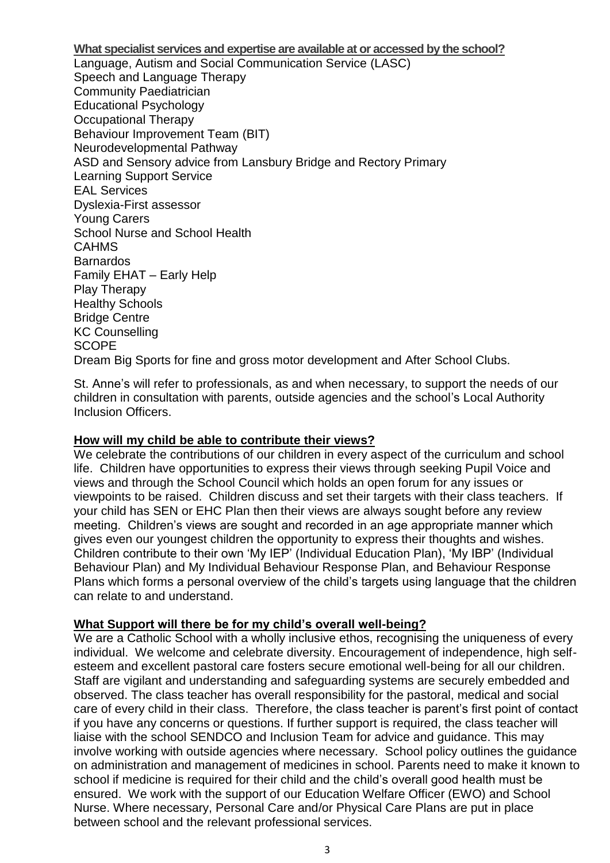**What specialist services and expertise are available at or accessed by the school?** Language, Autism and Social Communication Service (LASC) Speech and Language Therapy Community Paediatrician Educational Psychology Occupational Therapy Behaviour Improvement Team (BIT) Neurodevelopmental Pathway ASD and Sensory advice from Lansbury Bridge and Rectory Primary Learning Support Service EAL Services Dyslexia-First assessor Young Carers School Nurse and School Health CAHMS Barnardos Family EHAT – Early Help Play Therapy Healthy Schools Bridge Centre KC Counselling **SCOPE** Dream Big Sports for fine and gross motor development and After School Clubs.

St. Anne's will refer to professionals, as and when necessary, to support the needs of our children in consultation with parents, outside agencies and the school's Local Authority Inclusion Officers.

#### **How will my child be able to contribute their views?**

We celebrate the contributions of our children in every aspect of the curriculum and school life. Children have opportunities to express their views through seeking Pupil Voice and views and through the School Council which holds an open forum for any issues or viewpoints to be raised. Children discuss and set their targets with their class teachers. If your child has SEN or EHC Plan then their views are always sought before any review meeting. Children's views are sought and recorded in an age appropriate manner which gives even our youngest children the opportunity to express their thoughts and wishes. Children contribute to their own 'My IEP' (Individual Education Plan), 'My IBP' (Individual Behaviour Plan) and My Individual Behaviour Response Plan, and Behaviour Response Plans which forms a personal overview of the child's targets using language that the children can relate to and understand.

#### **What Support will there be for my child's overall well-being?**

We are a Catholic School with a wholly inclusive ethos, recognising the uniqueness of every individual. We welcome and celebrate diversity. Encouragement of independence, high selfesteem and excellent pastoral care fosters secure emotional well-being for all our children. Staff are vigilant and understanding and safeguarding systems are securely embedded and observed. The class teacher has overall responsibility for the pastoral, medical and social care of every child in their class. Therefore, the class teacher is parent's first point of contact if you have any concerns or questions. If further support is required, the class teacher will liaise with the school SENDCO and Inclusion Team for advice and guidance. This may involve working with outside agencies where necessary. School policy outlines the guidance on administration and management of medicines in school. Parents need to make it known to school if medicine is required for their child and the child's overall good health must be ensured. We work with the support of our Education Welfare Officer (EWO) and School Nurse. Where necessary, Personal Care and/or Physical Care Plans are put in place between school and the relevant professional services.